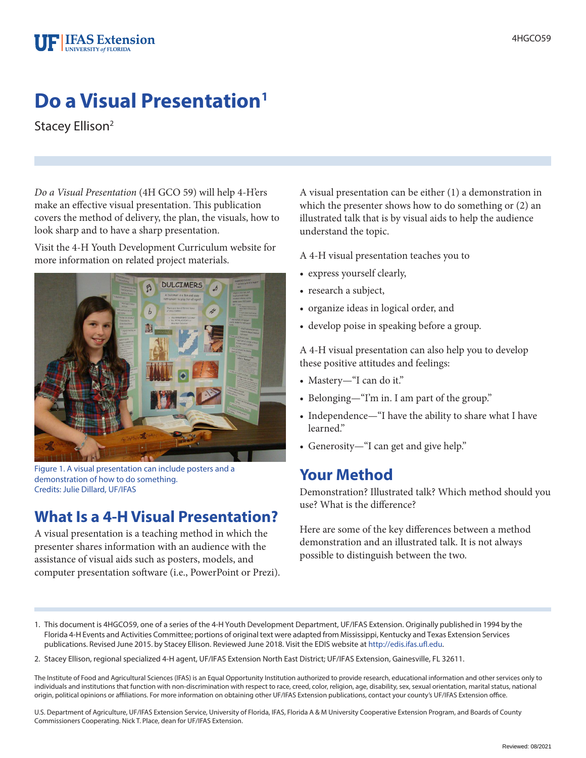

# **Do a Visual Presentation1**

Stacey Ellison<sup>2</sup>

*Do a Visual Presentation* (4H GCO 59) will help 4-H'ers make an effective visual presentation. This publication covers the method of delivery, the plan, the visuals, how to look sharp and to have a sharp presentation.

Visit the 4-H Youth Development Curriculum website for more information on related project materials.



Figure 1. A visual presentation can include posters and a demonstration of how to do something. Credits: Julie Dillard, UF/IFAS

## **What Is a 4-H Visual Presentation?**

A visual presentation is a teaching method in which the presenter shares information with an audience with the assistance of visual aids such as posters, models, and computer presentation software (i.e., PowerPoint or Prezi). A visual presentation can be either (1) a demonstration in which the presenter shows how to do something or (2) an illustrated talk that is by visual aids to help the audience understand the topic.

A 4-H visual presentation teaches you to

- express yourself clearly,
- research a subject,
- organize ideas in logical order, and
- develop poise in speaking before a group.

A 4-H visual presentation can also help you to develop these positive attitudes and feelings:

- Mastery—"I can do it."
- Belonging—"I'm in. I am part of the group."
- Independence—"I have the ability to share what I have learned."
- Generosity—"I can get and give help."

### **Your Method**

Demonstration? Illustrated talk? Which method should you use? What is the difference?

Here are some of the key differences between a method demonstration and an illustrated talk. It is not always possible to distinguish between the two.

- 1. This document is 4HGCO59, one of a series of the 4-H Youth Development Department, UF/IFAS Extension. Originally published in 1994 by the Florida 4-H Events and Activities Committee[; portions of original te](http://edis.ifas.ufl.edu)xt were adapted from Mississippi, Kentucky and Texas Extension Services publications. Revised June 2015. by Stacey Ellison. Reviewed June 2018. Visit the EDIS website at http://edis.ifas.ufl.edu.
- 2. Stacey Ellison, regional specialized 4-H agent, UF/IFAS Extension North East District; UF/IFAS Extension, Gainesville, FL 32611.

The Institute of Food and Agricultural Sciences (IFAS) is an Equal Opportunity Institution authorized to provide research, educational information and other services only to individuals and institutions that function with non-discrimination with respect to race, creed, color, religion, age, disability, sex, sexual orientation, marital status, national origin, political opinions or affiliations. For more information on obtaining other UF/IFAS Extension publications, contact your county's UF/IFAS Extension office.

U.S. Department of Agriculture, UF/IFAS Extension Service, University of Florida, IFAS, Florida A & M University Cooperative Extension Program, and Boards of County Commissioners Cooperating. Nick T. Place, dean for UF/IFAS Extension.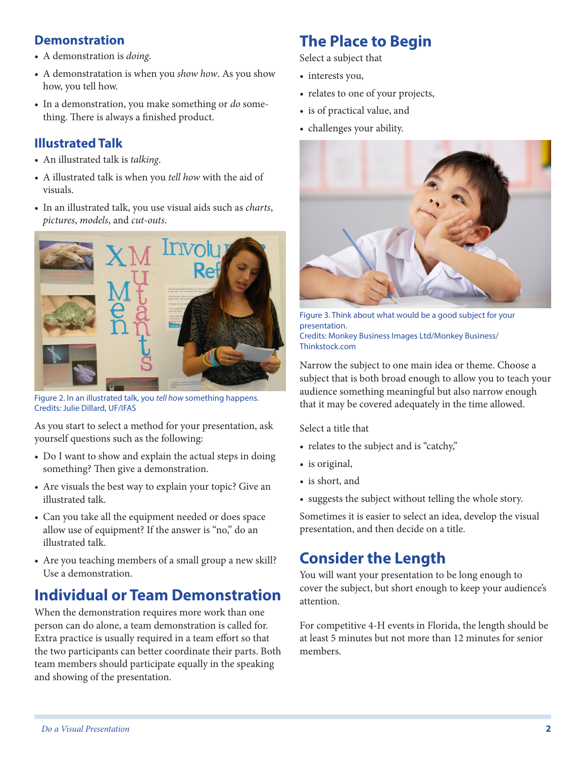#### **Demonstration**

- A demonstration is *doing*.
- A demonstratation is when you *show how*. As you show how, you tell how.
- In a demonstration, you make something or *do* something. There is always a finished product.

#### **Illustrated Talk**

- An illustrated talk is *talking*.
- A illustrated talk is when you *tell how* with the aid of visuals.
- In an illustrated talk, you use visual aids such as *charts*, *pictures*, *models*, and *cut-outs*.



Figure 2. In an illustrated talk, you *tell how* something happens. Credits: Julie Dillard, UF/IFAS

As you start to select a method for your presentation, ask yourself questions such as the following:

- Do I want to show and explain the actual steps in doing something? Then give a demonstration.
- Are visuals the best way to explain your topic? Give an illustrated talk.
- Can you take all the equipment needed or does space allow use of equipment? If the answer is "no," do an illustrated talk.
- Are you teaching members of a small group a new skill? Use a demonstration.

## **Individual or Team Demonstration**

When the demonstration requires more work than one person can do alone, a team demonstration is called for. Extra practice is usually required in a team effort so that the two participants can better coordinate their parts. Both team members should participate equally in the speaking and showing of the presentation.

## **The Place to Begin**

Select a subject that

- interests you,
- relates to one of your projects,
- is of practical value, and
- challenges your ability.



Figure 3. Think about what would be a good subject for your presentation. Credits: Monkey Business Images Ltd/Monkey Business/ Thinkstock.com

Narrow the subject to one main idea or theme. Choose a subject that is both broad enough to allow you to teach your audience something meaningful but also narrow enough that it may be covered adequately in the time allowed.

Select a title that

- relates to the subject and is "catchy,"
- is original,
- is short, and
- suggests the subject without telling the whole story.

Sometimes it is easier to select an idea, develop the visual presentation, and then decide on a title.

## **Consider the Length**

You will want your presentation to be long enough to cover the subject, but short enough to keep your audience's attention.

For competitive 4-H events in Florida, the length should be at least 5 minutes but not more than 12 minutes for senior members.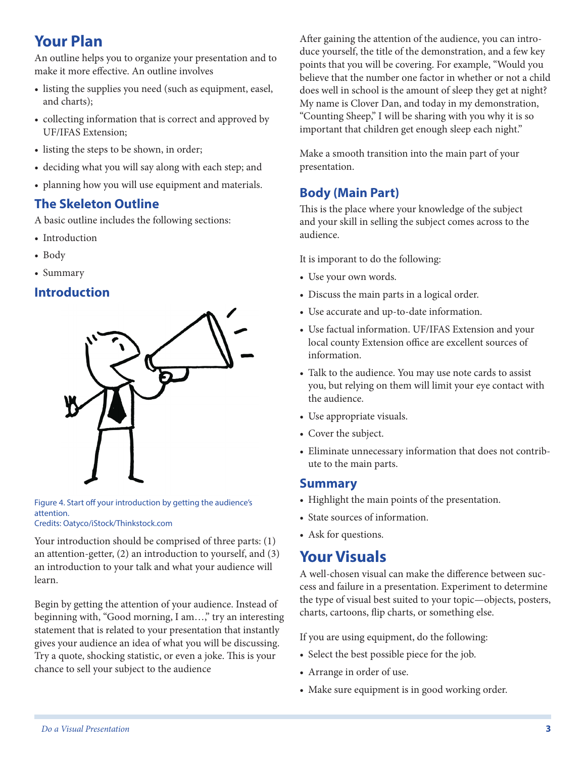## **Your Plan**

An outline helps you to organize your presentation and to make it more effective. An outline involves

- listing the supplies you need (such as equipment, easel, and charts);
- collecting information that is correct and approved by UF/IFAS Extension;
- listing the steps to be shown, in order;
- deciding what you will say along with each step; and
- planning how you will use equipment and materials.

#### **The Skeleton Outline**

A basic outline includes the following sections:

- Introduction
- Body
- Summary

#### **Introduction**



Figure 4. Start off your introduction by getting the audience's attention. Credits: Oatyco/iStock/Thinkstock.com

Your introduction should be comprised of three parts: (1) an attention-getter, (2) an introduction to yourself, and (3) an introduction to your talk and what your audience will learn.

Begin by getting the attention of your audience. Instead of beginning with, "Good morning, I am…," try an interesting statement that is related to your presentation that instantly gives your audience an idea of what you will be discussing. Try a quote, shocking statistic, or even a joke. This is your chance to sell your subject to the audience

After gaining the attention of the audience, you can introduce yourself, the title of the demonstration, and a few key points that you will be covering. For example, "Would you believe that the number one factor in whether or not a child does well in school is the amount of sleep they get at night? My name is Clover Dan, and today in my demonstration, "Counting Sheep," I will be sharing with you why it is so important that children get enough sleep each night."

Make a smooth transition into the main part of your presentation.

### **Body (Main Part)**

This is the place where your knowledge of the subject and your skill in selling the subject comes across to the audience.

It is imporant to do the following:

- Use your own words.
- Discuss the main parts in a logical order.
- Use accurate and up-to-date information.
- Use factual information. UF/IFAS Extension and your local county Extension office are excellent sources of information.
- Talk to the audience. You may use note cards to assist you, but relying on them will limit your eye contact with the audience.
- Use appropriate visuals.
- Cover the subject.
- Eliminate unnecessary information that does not contribute to the main parts.

#### **Summary**

- Highlight the main points of the presentation.
- State sources of information.
- Ask for questions.

### **Your Visuals**

A well-chosen visual can make the difference between success and failure in a presentation. Experiment to determine the type of visual best suited to your topic—objects, posters, charts, cartoons, flip charts, or something else.

If you are using equipment, do the following:

- Select the best possible piece for the job.
- Arrange in order of use.
- Make sure equipment is in good working order.